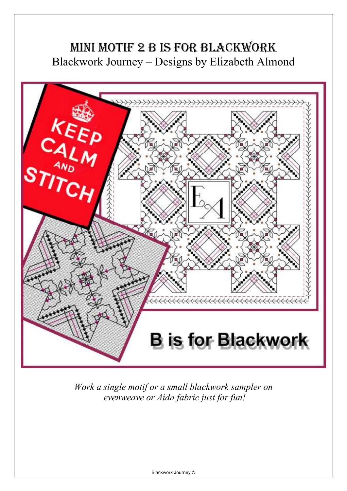## MINI MOTIF 2 B IS FOR BLACKWORK Blackwork Journey – Designs by Elizabeth Almond



*Work a single motif or a small blackwork sampler on evenweave or Aida fabric just for fun!*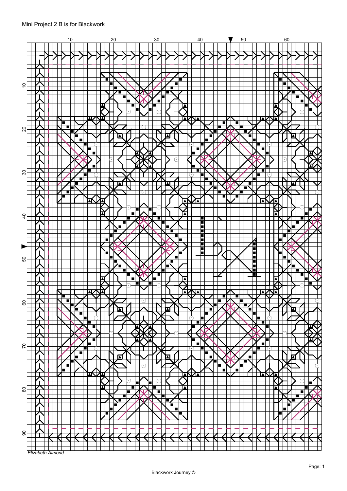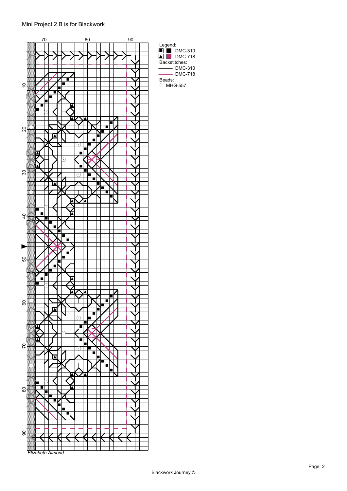## Mini Project 2 B is for Blackwork



Backstitches:

Beads:  $O$  MHG-557

DMC-310  $-$  DMC-718